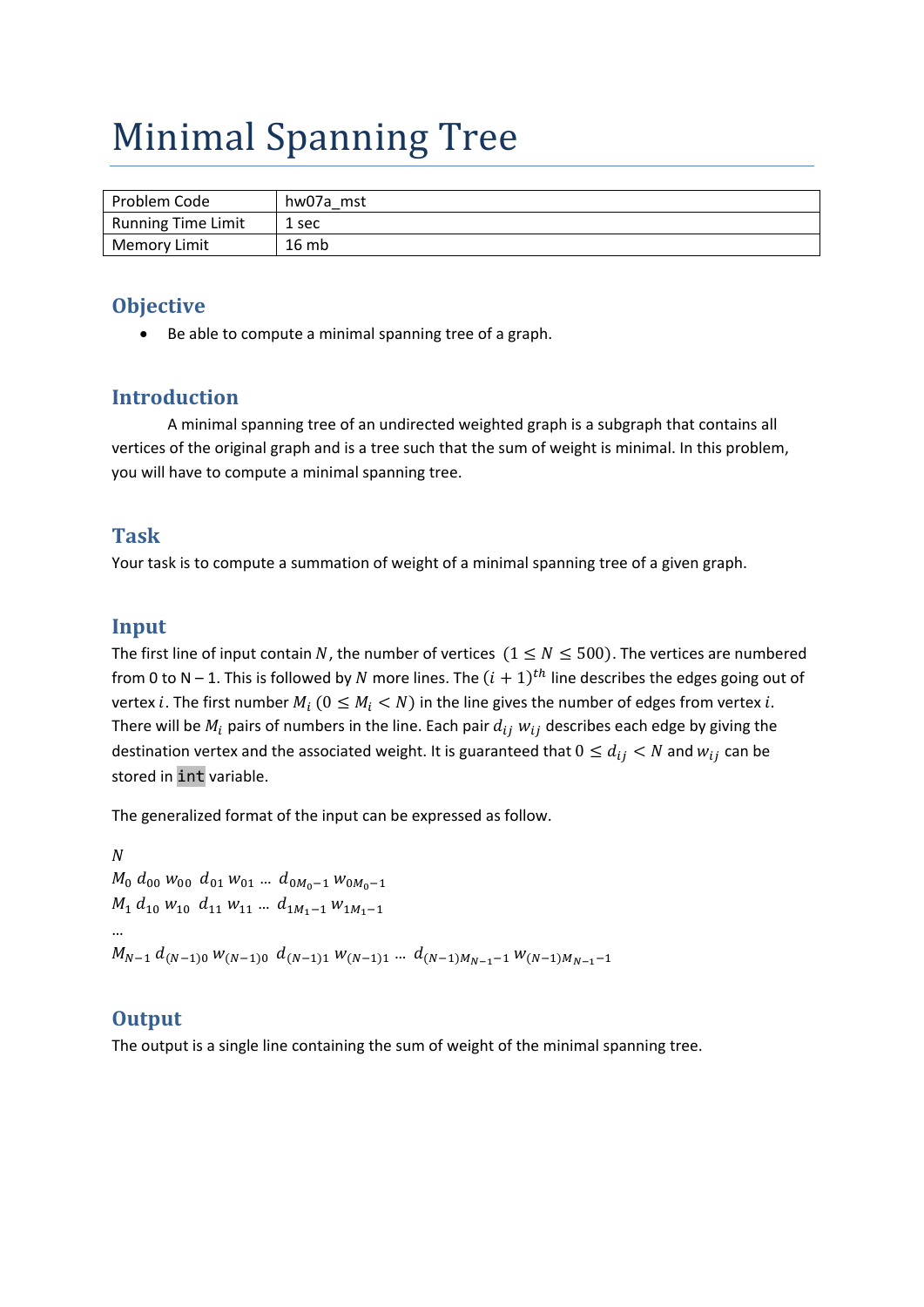# Minimal Spanning Tree

| Problem Code              | hw07a mst |
|---------------------------|-----------|
| <b>Running Time Limit</b> | 1 sec     |
| Memory Limit              | 16mb      |

#### **Objective**

Be able to compute a minimal spanning tree of a graph.

### **Introduction**

A minimal spanning tree of an undirected weighted graph is a subgraph that contains all vertices of the original graph and is a tree such that the sum of weight is minimal. In this problem, you will have to compute a minimal spanning tree.

#### **Task**

Your task is to compute a summation of weight of a minimal spanning tree of a given graph.

#### **Input**

The first line of input contain N, the number of vertices  $(1 \le N \le 500)$ . The vertices are numbered from 0 to N – 1. This is followed by N more lines. The  $(i + 1)<sup>th</sup>$  line describes the edges going out of vertex *i*. The first number  $M_i$  ( $0 \leq M_i < N$ ) in the line gives the number of edges from vertex *i*. There will be  $M_i$  pairs of numbers in the line. Each pair  $d_{ij}$   $w_{ij}$  describes each edge by giving the destination vertex and the associated weight. It is guaranteed that  $0 \le d_{ij} < N$  and  $w_{ij}$  can be stored in int variable.

The generalized format of the input can be expressed as follow.

 $\boldsymbol{N}$  $M_0$   $d_{00}$   $w_{00}$   $d_{01}$   $w_{01}$  ...  $d_{0M_0-1}$   $w_{0M_0-1}$  $M_1$   $d_{10}$   $w_{10}$   $d_{11}$   $w_{11}$  ...  $d_{1M_1-1}$   $w_{1M_1-1}$ …  $M_{N-1}$   $d_{(N-1)0}$   $W_{(N-1)0}$   $d_{(N-1)1}$   $W_{(N-1)1}$  ...  $d_{(N-1)M_{N-1}-1}$   $W_{(N-1)M_{N-1}-1}$ 

#### **Output**

The output is a single line containing the sum of weight of the minimal spanning tree.